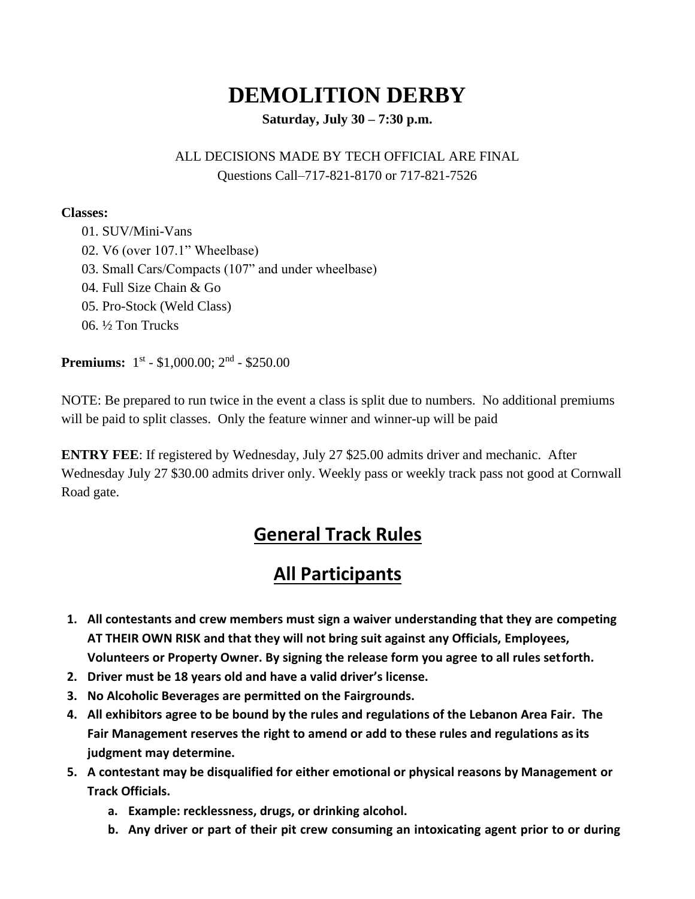# **DEMOLITION DERBY**

**Saturday, July 30 – 7:30 p.m.**

# ALL DECISIONS MADE BY TECH OFFICIAL ARE FINAL Questions Call–717-821-8170 or 717-821-7526

#### **Classes:**

01. SUV/Mini-Vans 02. V6 (over 107.1" Wheelbase) 03. Small Cars/Compacts (107" and under wheelbase) 04. Full Size Chain & Go 05. Pro-Stock (Weld Class) 06. ½ Ton Trucks

**Premiums:** 1<sup>st</sup> - \$1,000.00; 2<sup>nd</sup> - \$250.00

NOTE: Be prepared to run twice in the event a class is split due to numbers. No additional premiums will be paid to split classes. Only the feature winner and winner-up will be paid

**ENTRY FEE**: If registered by Wednesday, July 27 \$25.00 admits driver and mechanic. After Wednesday July 27 \$30.00 admits driver only. Weekly pass or weekly track pass not good at Cornwall Road gate.

# **General Track Rules**

# **All Participants**

- **1. All contestants and crew members must sign a waiver understanding that they are competing AT THEIR OWN RISK and that they will not bring suit against any Officials, Employees, Volunteers or Property Owner. By signing the release form you agree to all rules setforth.**
- **2. Driver must be 18 years old and have a valid driver's license.**
- **3. No Alcoholic Beverages are permitted on the Fairgrounds.**
- **4. All exhibitors agree to be bound by the rules and regulations of the Lebanon Area Fair. The Fair Management reserves the right to amend or add to these rules and regulations asits judgment may determine.**
- **5. A contestant may be disqualified for either emotional or physical reasons by Management or Track Officials.**
	- **a. Example: recklessness, drugs, or drinking alcohol.**
	- **b. Any driver or part of their pit crew consuming an intoxicating agent prior to or during**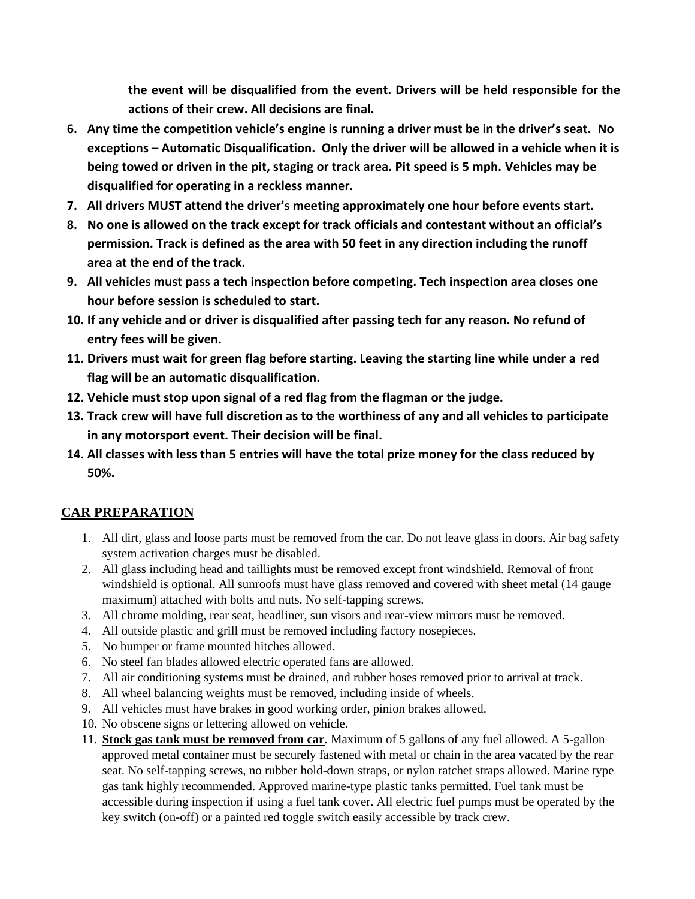**the event will be disqualified from the event. Drivers will be held responsible for the actions of their crew. All decisions are final.**

- **6. Any time the competition vehicle's engine is running a driver must be in the driver's seat. No exceptions – Automatic Disqualification. Only the driver will be allowed in a vehicle when it is being towed or driven in the pit, staging or track area. Pit speed is 5 mph. Vehicles may be disqualified for operating in a reckless manner.**
- **7. All drivers MUST attend the driver's meeting approximately one hour before events start.**
- **8. No one is allowed on the track except for track officials and contestant without an official's permission. Track is defined as the area with 50 feet in any direction including the runoff area at the end of the track.**
- **9. All vehicles must pass a tech inspection before competing. Tech inspection area closes one hour before session is scheduled to start.**
- **10. If any vehicle and or driver is disqualified after passing tech for any reason. No refund of entry fees will be given.**
- **11. Drivers must wait for green flag before starting. Leaving the starting line while under a red flag will be an automatic disqualification.**
- **12. Vehicle must stop upon signal of a red flag from the flagman or the judge.**
- **13. Track crew will have full discretion as to the worthiness of any and all vehicles to participate in any motorsport event. Their decision will be final.**
- **14. All classes with less than 5 entries will have the total prize money for the class reduced by 50%.**

# **CAR PREPARATION**

- 1. All dirt, glass and loose parts must be removed from the car. Do not leave glass in doors. Air bag safety system activation charges must be disabled.
- 2. All glass including head and taillights must be removed except front windshield. Removal of front windshield is optional. All sunroofs must have glass removed and covered with sheet metal (14 gauge maximum) attached with bolts and nuts. No self-tapping screws.
- 3. All chrome molding, rear seat, headliner, sun visors and rear-view mirrors must be removed.
- 4. All outside plastic and grill must be removed including factory nosepieces.
- 5. No bumper or frame mounted hitches allowed.
- 6. No steel fan blades allowed electric operated fans are allowed.
- 7. All air conditioning systems must be drained, and rubber hoses removed prior to arrival at track.
- 8. All wheel balancing weights must be removed, including inside of wheels.
- 9. All vehicles must have brakes in good working order, pinion brakes allowed.
- 10. No obscene signs or lettering allowed on vehicle.
- 11. **Stock gas tank must be removed from car**. Maximum of 5 gallons of any fuel allowed. A 5-gallon approved metal container must be securely fastened with metal or chain in the area vacated by the rear seat. No self-tapping screws, no rubber hold-down straps, or nylon ratchet straps allowed. Marine type gas tank highly recommended. Approved marine-type plastic tanks permitted. Fuel tank must be accessible during inspection if using a fuel tank cover. All electric fuel pumps must be operated by the key switch (on-off) or a painted red toggle switch easily accessible by track crew.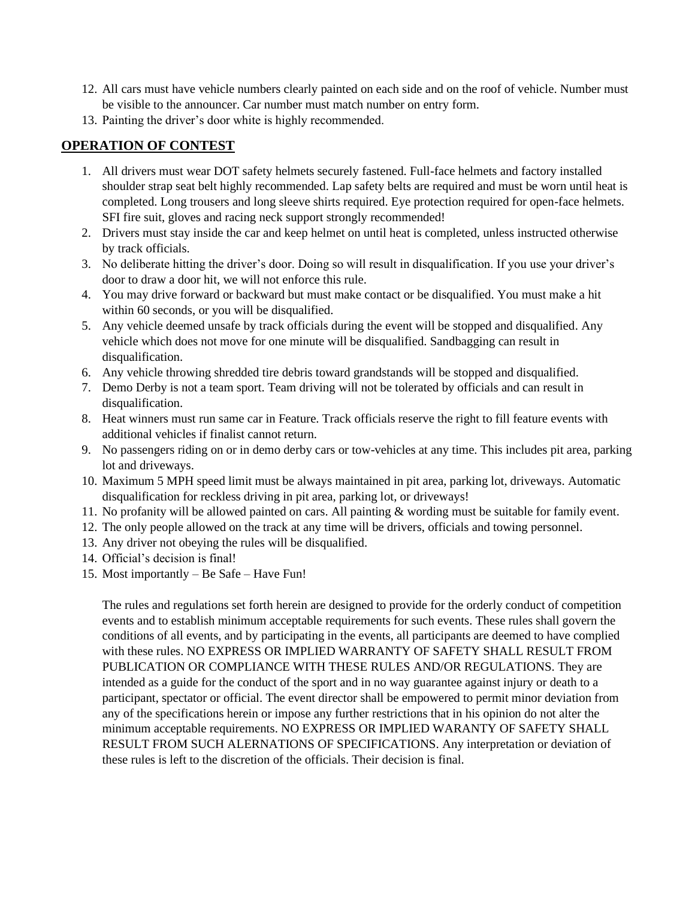- 12. All cars must have vehicle numbers clearly painted on each side and on the roof of vehicle. Number must be visible to the announcer. Car number must match number on entry form.
- 13. Painting the driver's door white is highly recommended.

#### **OPERATION OF CONTEST**

- 1. All drivers must wear DOT safety helmets securely fastened. Full-face helmets and factory installed shoulder strap seat belt highly recommended. Lap safety belts are required and must be worn until heat is completed. Long trousers and long sleeve shirts required. Eye protection required for open-face helmets. SFI fire suit, gloves and racing neck support strongly recommended!
- 2. Drivers must stay inside the car and keep helmet on until heat is completed, unless instructed otherwise by track officials.
- 3. No deliberate hitting the driver's door. Doing so will result in disqualification. If you use your driver's door to draw a door hit, we will not enforce this rule.
- 4. You may drive forward or backward but must make contact or be disqualified. You must make a hit within 60 seconds, or you will be disqualified.
- 5. Any vehicle deemed unsafe by track officials during the event will be stopped and disqualified. Any vehicle which does not move for one minute will be disqualified. Sandbagging can result in disqualification.
- 6. Any vehicle throwing shredded tire debris toward grandstands will be stopped and disqualified.
- 7. Demo Derby is not a team sport. Team driving will not be tolerated by officials and can result in disqualification.
- 8. Heat winners must run same car in Feature. Track officials reserve the right to fill feature events with additional vehicles if finalist cannot return.
- 9. No passengers riding on or in demo derby cars or tow-vehicles at any time. This includes pit area, parking lot and driveways.
- 10. Maximum 5 MPH speed limit must be always maintained in pit area, parking lot, driveways. Automatic disqualification for reckless driving in pit area, parking lot, or driveways!
- 11. No profanity will be allowed painted on cars. All painting & wording must be suitable for family event.
- 12. The only people allowed on the track at any time will be drivers, officials and towing personnel.
- 13. Any driver not obeying the rules will be disqualified.
- 14. Official's decision is final!
- 15. Most importantly Be Safe Have Fun!

The rules and regulations set forth herein are designed to provide for the orderly conduct of competition events and to establish minimum acceptable requirements for such events. These rules shall govern the conditions of all events, and by participating in the events, all participants are deemed to have complied with these rules. NO EXPRESS OR IMPLIED WARRANTY OF SAFETY SHALL RESULT FROM PUBLICATION OR COMPLIANCE WITH THESE RULES AND/OR REGULATIONS. They are intended as a guide for the conduct of the sport and in no way guarantee against injury or death to a participant, spectator or official. The event director shall be empowered to permit minor deviation from any of the specifications herein or impose any further restrictions that in his opinion do not alter the minimum acceptable requirements. NO EXPRESS OR IMPLIED WARANTY OF SAFETY SHALL RESULT FROM SUCH ALERNATIONS OF SPECIFICATIONS. Any interpretation or deviation of these rules is left to the discretion of the officials. Their decision is final.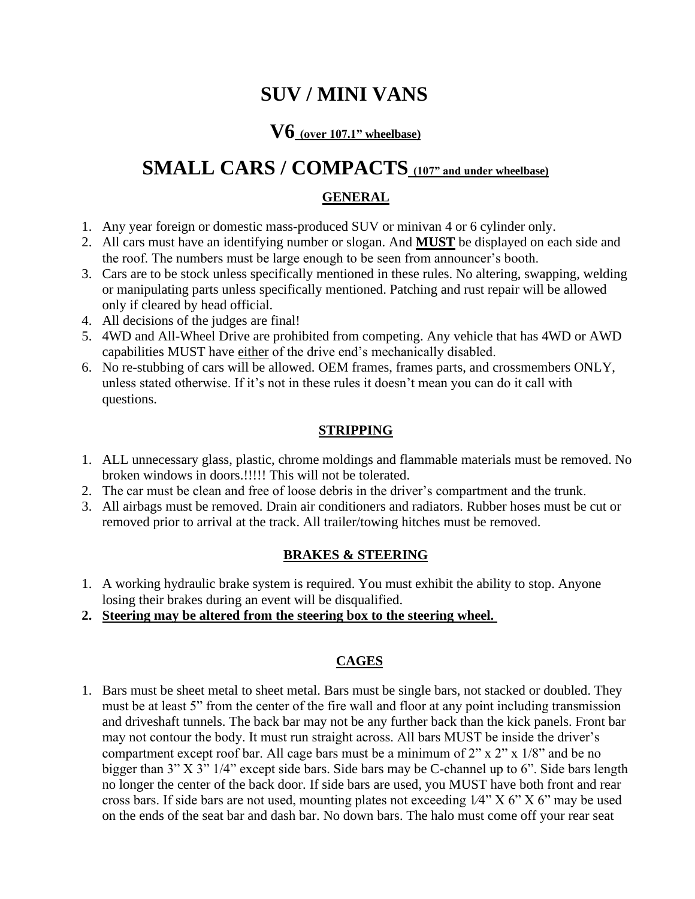# **SUV / MINI VANS**

# **V6 (over 107.1" wheelbase)**

# SMALL CARS / COMPACTS (107" and under wheelbase)

# **GENERAL**

- 1. Any year foreign or domestic mass-produced SUV or minivan 4 or 6 cylinder only.
- 2. All cars must have an identifying number or slogan. And **MUST** be displayed on each side and the roof. The numbers must be large enough to be seen from announcer's booth.
- 3. Cars are to be stock unless specifically mentioned in these rules. No altering, swapping, welding or manipulating parts unless specifically mentioned. Patching and rust repair will be allowed only if cleared by head official.
- 4. All decisions of the judges are final!
- 5. 4WD and All-Wheel Drive are prohibited from competing. Any vehicle that has 4WD or AWD capabilities MUST have either of the drive end's mechanically disabled.
- 6. No re-stubbing of cars will be allowed. OEM frames, frames parts, and crossmembers ONLY, unless stated otherwise. If it's not in these rules it doesn't mean you can do it call with questions.

### **STRIPPING**

- 1. ALL unnecessary glass, plastic, chrome moldings and flammable materials must be removed. No broken windows in doors.!!!!! This will not be tolerated.
- 2. The car must be clean and free of loose debris in the driver's compartment and the trunk.
- 3. All airbags must be removed. Drain air conditioners and radiators. Rubber hoses must be cut or removed prior to arrival at the track. All trailer/towing hitches must be removed.

# **BRAKES & STEERING**

- 1. A working hydraulic brake system is required. You must exhibit the ability to stop. Anyone losing their brakes during an event will be disqualified.
- **2. Steering may be altered from the steering box to the steering wheel.**

# **CAGES**

1. Bars must be sheet metal to sheet metal. Bars must be single bars, not stacked or doubled. They must be at least 5" from the center of the fire wall and floor at any point including transmission and driveshaft tunnels. The back bar may not be any further back than the kick panels. Front bar may not contour the body. It must run straight across. All bars MUST be inside the driver's compartment except roof bar. All cage bars must be a minimum of  $2" \times 2" \times 1/8"$  and be no bigger than 3" X 3" 1/4" except side bars. Side bars may be C-channel up to 6". Side bars length no longer the center of the back door. If side bars are used, you MUST have both front and rear cross bars. If side bars are not used, mounting plates not exceeding  $1/4$ " X 6" X 6" may be used on the ends of the seat bar and dash bar. No down bars. The halo must come off your rear seat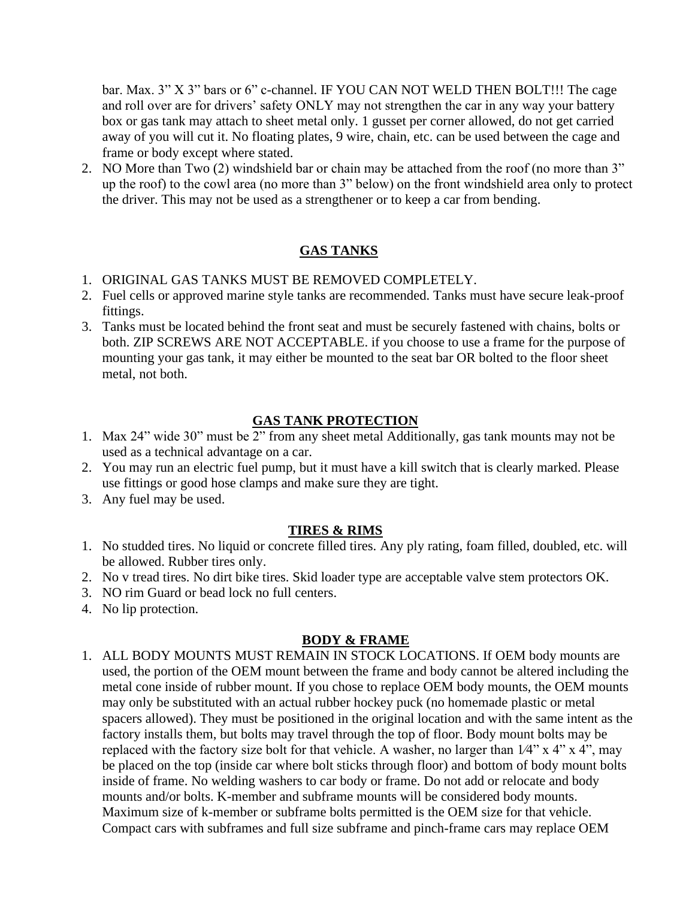bar. Max. 3" X 3" bars or 6" c-channel. IF YOU CAN NOT WELD THEN BOLT!!! The cage and roll over are for drivers' safety ONLY may not strengthen the car in any way your battery box or gas tank may attach to sheet metal only. 1 gusset per corner allowed, do not get carried away of you will cut it. No floating plates, 9 wire, chain, etc. can be used between the cage and frame or body except where stated.

2. NO More than Two (2) windshield bar or chain may be attached from the roof (no more than 3" up the roof) to the cowl area (no more than 3" below) on the front windshield area only to protect the driver. This may not be used as a strengthener or to keep a car from bending.

### **GAS TANKS**

- 1. ORIGINAL GAS TANKS MUST BE REMOVED COMPLETELY.
- 2. Fuel cells or approved marine style tanks are recommended. Tanks must have secure leak-proof fittings.
- 3. Tanks must be located behind the front seat and must be securely fastened with chains, bolts or both. ZIP SCREWS ARE NOT ACCEPTABLE. if you choose to use a frame for the purpose of mounting your gas tank, it may either be mounted to the seat bar OR bolted to the floor sheet metal, not both.

#### **GAS TANK PROTECTION**

- 1. Max 24" wide 30" must be  $2^{\prime\prime}$  from any sheet metal Additionally, gas tank mounts may not be used as a technical advantage on a car.
- 2. You may run an electric fuel pump, but it must have a kill switch that is clearly marked. Please use fittings or good hose clamps and make sure they are tight.
- 3. Any fuel may be used.

#### **TIRES & RIMS**

- 1. No studded tires. No liquid or concrete filled tires. Any ply rating, foam filled, doubled, etc. will be allowed. Rubber tires only.
- 2. No v tread tires. No dirt bike tires. Skid loader type are acceptable valve stem protectors OK.
- 3. NO rim Guard or bead lock no full centers.
- 4. No lip protection.

#### **BODY & FRAME**

1. ALL BODY MOUNTS MUST REMAIN IN STOCK LOCATIONS. If OEM body mounts are used, the portion of the OEM mount between the frame and body cannot be altered including the metal cone inside of rubber mount. If you chose to replace OEM body mounts, the OEM mounts may only be substituted with an actual rubber hockey puck (no homemade plastic or metal spacers allowed). They must be positioned in the original location and with the same intent as the factory installs them, but bolts may travel through the top of floor. Body mount bolts may be replaced with the factory size bolt for that vehicle. A washer, no larger than  $1/4$ " x  $4$ " x  $4$ ", may be placed on the top (inside car where bolt sticks through floor) and bottom of body mount bolts inside of frame. No welding washers to car body or frame. Do not add or relocate and body mounts and/or bolts. K-member and subframe mounts will be considered body mounts. Maximum size of k-member or subframe bolts permitted is the OEM size for that vehicle. Compact cars with subframes and full size subframe and pinch-frame cars may replace OEM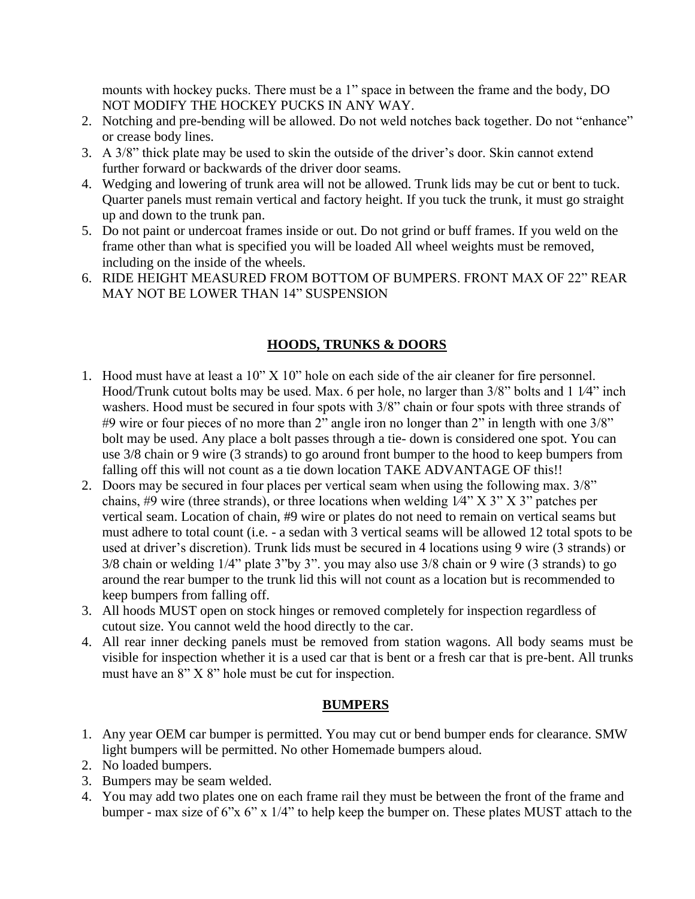mounts with hockey pucks. There must be a 1" space in between the frame and the body, DO NOT MODIFY THE HOCKEY PUCKS IN ANY WAY.

- 2. Notching and pre-bending will be allowed. Do not weld notches back together. Do not "enhance" or crease body lines.
- 3. A 3/8" thick plate may be used to skin the outside of the driver's door. Skin cannot extend further forward or backwards of the driver door seams.
- 4. Wedging and lowering of trunk area will not be allowed. Trunk lids may be cut or bent to tuck. Quarter panels must remain vertical and factory height. If you tuck the trunk, it must go straight up and down to the trunk pan.
- 5. Do not paint or undercoat frames inside or out. Do not grind or buff frames. If you weld on the frame other than what is specified you will be loaded All wheel weights must be removed, including on the inside of the wheels.
- 6. RIDE HEIGHT MEASURED FROM BOTTOM OF BUMPERS. FRONT MAX OF 22" REAR MAY NOT BE LOWER THAN 14" SUSPENSION

# **HOODS, TRUNKS & DOORS**

- 1. Hood must have at least a 10" X 10" hole on each side of the air cleaner for fire personnel. Hood/Trunk cutout bolts may be used. Max. 6 per hole, no larger than  $3/8$ " bolts and 1  $1/4$ " inch washers. Hood must be secured in four spots with 3/8" chain or four spots with three strands of #9 wire or four pieces of no more than  $2^{\prime\prime}$  angle iron no longer than  $2^{\prime\prime}$  in length with one 3/8" bolt may be used. Any place a bolt passes through a tie- down is considered one spot. You can use 3/8 chain or 9 wire (3 strands) to go around front bumper to the hood to keep bumpers from falling off this will not count as a tie down location TAKE ADVANTAGE OF this!!
- 2. Doors may be secured in four places per vertical seam when using the following max. 3/8" chains, #9 wire (three strands), or three locations when welding  $1/4$ " X 3" X 3" patches per vertical seam. Location of chain, #9 wire or plates do not need to remain on vertical seams but must adhere to total count (i.e. - a sedan with 3 vertical seams will be allowed 12 total spots to be used at driver's discretion). Trunk lids must be secured in 4 locations using 9 wire (3 strands) or 3/8 chain or welding 1/4" plate 3"by 3". you may also use 3/8 chain or 9 wire (3 strands) to go around the rear bumper to the trunk lid this will not count as a location but is recommended to keep bumpers from falling off.
- 3. All hoods MUST open on stock hinges or removed completely for inspection regardless of cutout size. You cannot weld the hood directly to the car.
- 4. All rear inner decking panels must be removed from station wagons. All body seams must be visible for inspection whether it is a used car that is bent or a fresh car that is pre-bent. All trunks must have an 8" X 8" hole must be cut for inspection.

# **BUMPERS**

- 1. Any year OEM car bumper is permitted. You may cut or bend bumper ends for clearance. SMW light bumpers will be permitted. No other Homemade bumpers aloud.
- 2. No loaded bumpers.
- 3. Bumpers may be seam welded.
- 4. You may add two plates one on each frame rail they must be between the front of the frame and bumper - max size of 6"x 6" x 1/4" to help keep the bumper on. These plates MUST attach to the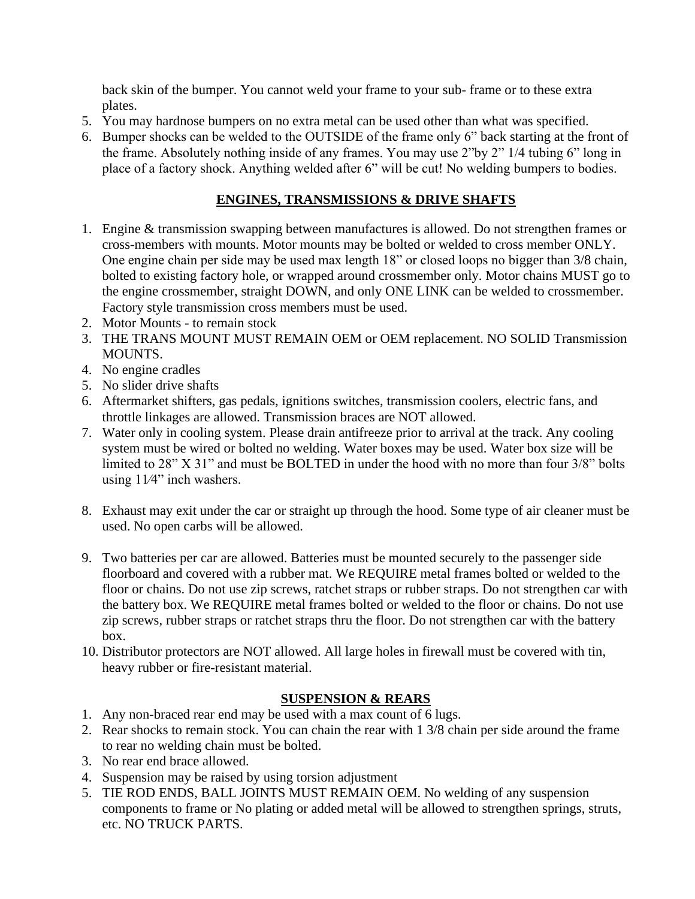back skin of the bumper. You cannot weld your frame to your sub- frame or to these extra plates.

- 5. You may hardnose bumpers on no extra metal can be used other than what was specified.
- 6. Bumper shocks can be welded to the OUTSIDE of the frame only 6" back starting at the front of the frame. Absolutely nothing inside of any frames. You may use 2"by 2" 1/4 tubing 6" long in place of a factory shock. Anything welded after 6" will be cut! No welding bumpers to bodies.

### **ENGINES, TRANSMISSIONS & DRIVE SHAFTS**

- 1. Engine & transmission swapping between manufactures is allowed. Do not strengthen frames or cross-members with mounts. Motor mounts may be bolted or welded to cross member ONLY. One engine chain per side may be used max length 18" or closed loops no bigger than 3/8 chain, bolted to existing factory hole, or wrapped around crossmember only. Motor chains MUST go to the engine crossmember, straight DOWN, and only ONE LINK can be welded to crossmember. Factory style transmission cross members must be used.
- 2. Motor Mounts to remain stock
- 3. THE TRANS MOUNT MUST REMAIN OEM or OEM replacement. NO SOLID Transmission MOUNTS.
- 4. No engine cradles
- 5. No slider drive shafts
- 6. Aftermarket shifters, gas pedals, ignitions switches, transmission coolers, electric fans, and throttle linkages are allowed. Transmission braces are NOT allowed.
- 7. Water only in cooling system. Please drain antifreeze prior to arrival at the track. Any cooling system must be wired or bolted no welding. Water boxes may be used. Water box size will be limited to 28" X 31" and must be BOLTED in under the hood with no more than four 3/8" bolts using 11⁄4" inch washers.
- 8. Exhaust may exit under the car or straight up through the hood. Some type of air cleaner must be used. No open carbs will be allowed.
- 9. Two batteries per car are allowed. Batteries must be mounted securely to the passenger side floorboard and covered with a rubber mat. We REQUIRE metal frames bolted or welded to the floor or chains. Do not use zip screws, ratchet straps or rubber straps. Do not strengthen car with the battery box. We REQUIRE metal frames bolted or welded to the floor or chains. Do not use zip screws, rubber straps or ratchet straps thru the floor. Do not strengthen car with the battery box.
- 10. Distributor protectors are NOT allowed. All large holes in firewall must be covered with tin, heavy rubber or fire-resistant material.

#### **SUSPENSION & REARS**

- 1. Any non-braced rear end may be used with a max count of 6 lugs.
- 2. Rear shocks to remain stock. You can chain the rear with 1 3/8 chain per side around the frame to rear no welding chain must be bolted.
- 3. No rear end brace allowed.
- 4. Suspension may be raised by using torsion adjustment
- 5. TIE ROD ENDS, BALL JOINTS MUST REMAIN OEM. No welding of any suspension components to frame or No plating or added metal will be allowed to strengthen springs, struts, etc. NO TRUCK PARTS.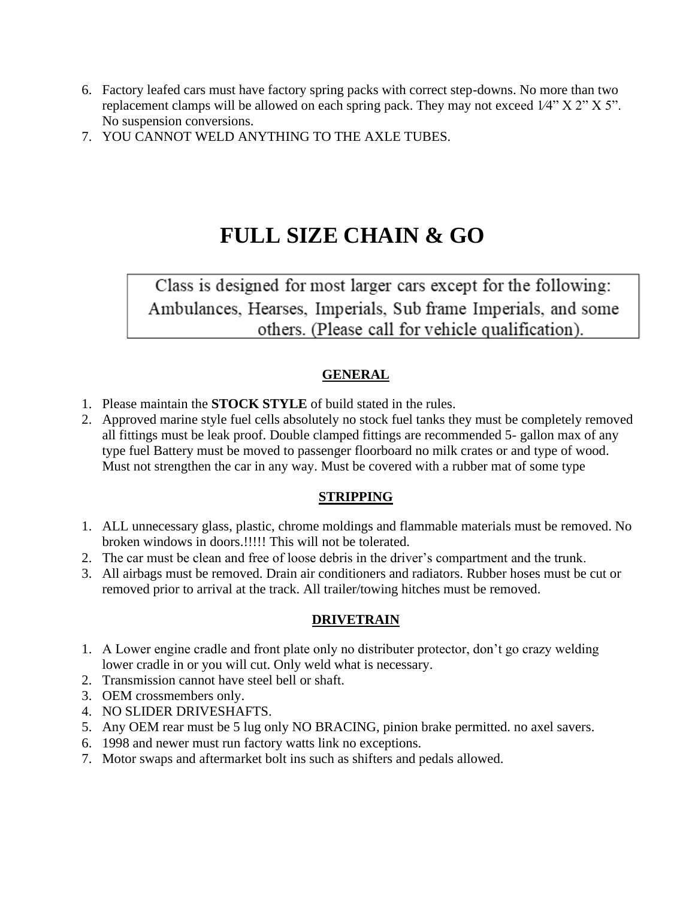- 6. Factory leafed cars must have factory spring packs with correct step-downs. No more than two replacement clamps will be allowed on each spring pack. They may not exceed  $1/4$ " X  $2$ " X  $5$ ". No suspension conversions.
- 7. YOU CANNOT WELD ANYTHING TO THE AXLE TUBES.

# **FULL SIZE CHAIN & GO**

Class is designed for most larger cars except for the following: Ambulances, Hearses, Imperials, Sub frame Imperials, and some others. (Please call for vehicle qualification).

# **GENERAL**

- 1. Please maintain the **STOCK STYLE** of build stated in the rules.
- 2. Approved marine style fuel cells absolutely no stock fuel tanks they must be completely removed all fittings must be leak proof. Double clamped fittings are recommended 5- gallon max of any type fuel Battery must be moved to passenger floorboard no milk crates or and type of wood. Must not strengthen the car in any way. Must be covered with a rubber mat of some type

# **STRIPPING**

- 1. ALL unnecessary glass, plastic, chrome moldings and flammable materials must be removed. No broken windows in doors.!!!!! This will not be tolerated.
- 2. The car must be clean and free of loose debris in the driver's compartment and the trunk.
- 3. All airbags must be removed. Drain air conditioners and radiators. Rubber hoses must be cut or removed prior to arrival at the track. All trailer/towing hitches must be removed.

# **DRIVETRAIN**

- 1. A Lower engine cradle and front plate only no distributer protector, don't go crazy welding lower cradle in or you will cut. Only weld what is necessary.
- 2. Transmission cannot have steel bell or shaft.
- 3. OEM crossmembers only.
- 4. NO SLIDER DRIVESHAFTS.
- 5. Any OEM rear must be 5 lug only NO BRACING, pinion brake permitted. no axel savers.
- 6. 1998 and newer must run factory watts link no exceptions.
- 7. Motor swaps and aftermarket bolt ins such as shifters and pedals allowed.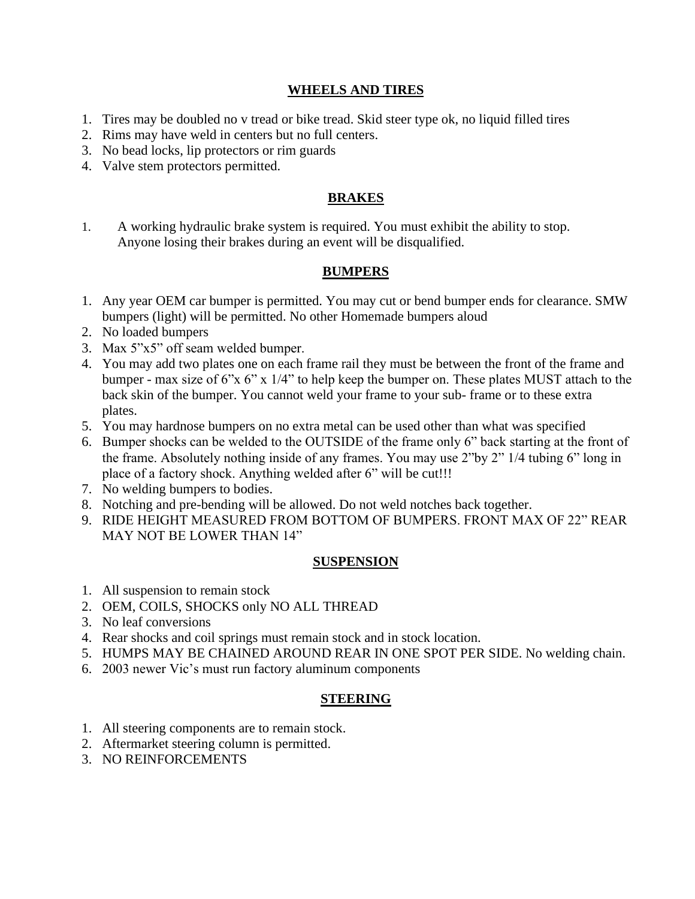#### **WHEELS AND TIRES**

- 1. Tires may be doubled no v tread or bike tread. Skid steer type ok, no liquid filled tires
- 2. Rims may have weld in centers but no full centers.
- 3. No bead locks, lip protectors or rim guards
- 4. Valve stem protectors permitted.

#### **BRAKES**

1. A working hydraulic brake system is required. You must exhibit the ability to stop. Anyone losing their brakes during an event will be disqualified.

#### **BUMPERS**

- 1. Any year OEM car bumper is permitted. You may cut or bend bumper ends for clearance. SMW bumpers (light) will be permitted. No other Homemade bumpers aloud
- 2. No loaded bumpers
- 3. Max 5"x5" off seam welded bumper.
- 4. You may add two plates one on each frame rail they must be between the front of the frame and bumper - max size of 6"x 6" x 1/4" to help keep the bumper on. These plates MUST attach to the back skin of the bumper. You cannot weld your frame to your sub- frame or to these extra plates.
- 5. You may hardnose bumpers on no extra metal can be used other than what was specified
- 6. Bumper shocks can be welded to the OUTSIDE of the frame only 6" back starting at the front of the frame. Absolutely nothing inside of any frames. You may use 2"by 2" 1/4 tubing 6" long in place of a factory shock. Anything welded after 6" will be cut!!!
- 7. No welding bumpers to bodies.
- 8. Notching and pre-bending will be allowed. Do not weld notches back together.
- 9. RIDE HEIGHT MEASURED FROM BOTTOM OF BUMPERS. FRONT MAX OF 22" REAR MAY NOT BE LOWER THAN 14"

#### **SUSPENSION**

- 1. All suspension to remain stock
- 2. OEM, COILS, SHOCKS only NO ALL THREAD
- 3. No leaf conversions
- 4. Rear shocks and coil springs must remain stock and in stock location.
- 5. HUMPS MAY BE CHAINED AROUND REAR IN ONE SPOT PER SIDE. No welding chain.
- 6. 2003 newer Vic's must run factory aluminum components

#### **STEERING**

- 1. All steering components are to remain stock.
- 2. Aftermarket steering column is permitted.
- 3. NO REINFORCEMENTS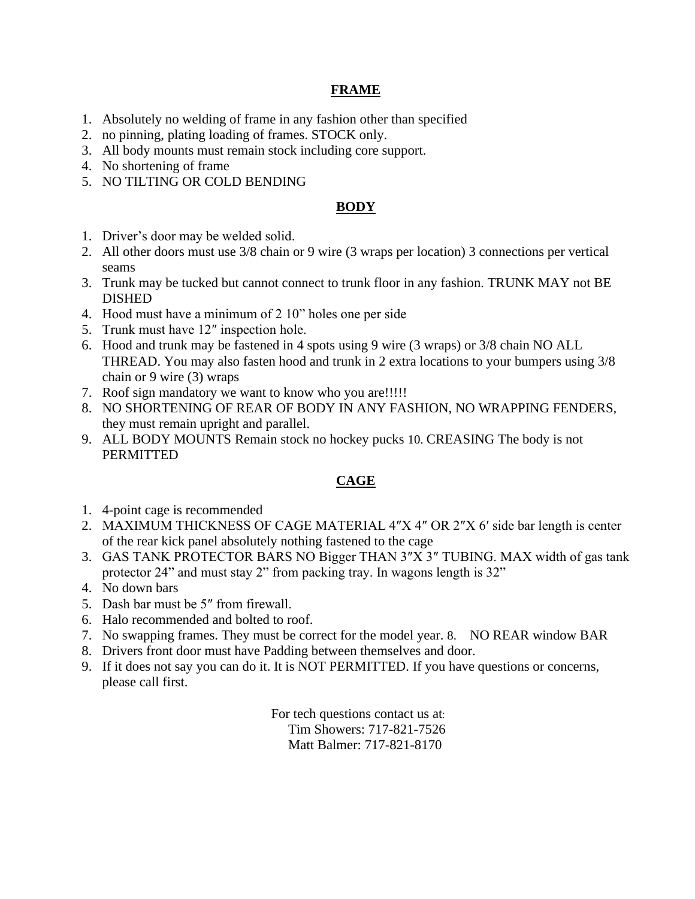#### **FRAME**

- 1. Absolutely no welding of frame in any fashion other than specified
- 2. no pinning, plating loading of frames. STOCK only.
- 3. All body mounts must remain stock including core support.
- 4. No shortening of frame
- 5. NO TILTING OR COLD BENDING

#### **BODY**

- 1. Driver's door may be welded solid.
- 2. All other doors must use 3/8 chain or 9 wire (3 wraps per location) 3 connections per vertical seams
- 3. Trunk may be tucked but cannot connect to trunk floor in any fashion. TRUNK MAY not BE DISHED
- 4. Hood must have a minimum of 2 10" holes one per side
- 5. Trunk must have 12″ inspection hole.
- 6. Hood and trunk may be fastened in 4 spots using 9 wire (3 wraps) or 3/8 chain NO ALL THREAD. You may also fasten hood and trunk in 2 extra locations to your bumpers using 3/8 chain or 9 wire (3) wraps
- 7. Roof sign mandatory we want to know who you are!!!!!
- 8. NO SHORTENING OF REAR OF BODY IN ANY FASHION, NO WRAPPING FENDERS, they must remain upright and parallel.
- 9. ALL BODY MOUNTS Remain stock no hockey pucks 10. CREASING The body is not PERMITTED

#### **CAGE**

- 1. 4-point cage is recommended
- 2. MAXIMUM THICKNESS OF CAGE MATERIAL 4″X 4″ OR 2″X 6′ side bar length is center of the rear kick panel absolutely nothing fastened to the cage
- 3. GAS TANK PROTECTOR BARS NO Bigger THAN 3″X 3″ TUBING. MAX width of gas tank protector 24" and must stay 2" from packing tray. In wagons length is 32"
- 4. No down bars
- 5. Dash bar must be 5″ from firewall.
- 6. Halo recommended and bolted to roof.
- 7. No swapping frames. They must be correct for the model year. 8. NO REAR window BAR
- 8. Drivers front door must have Padding between themselves and door.
- 9. If it does not say you can do it. It is NOT PERMITTED. If you have questions or concerns, please call first.

For tech questions contact us at: Tim Showers: 717-821-7526 Matt Balmer: 717-821-8170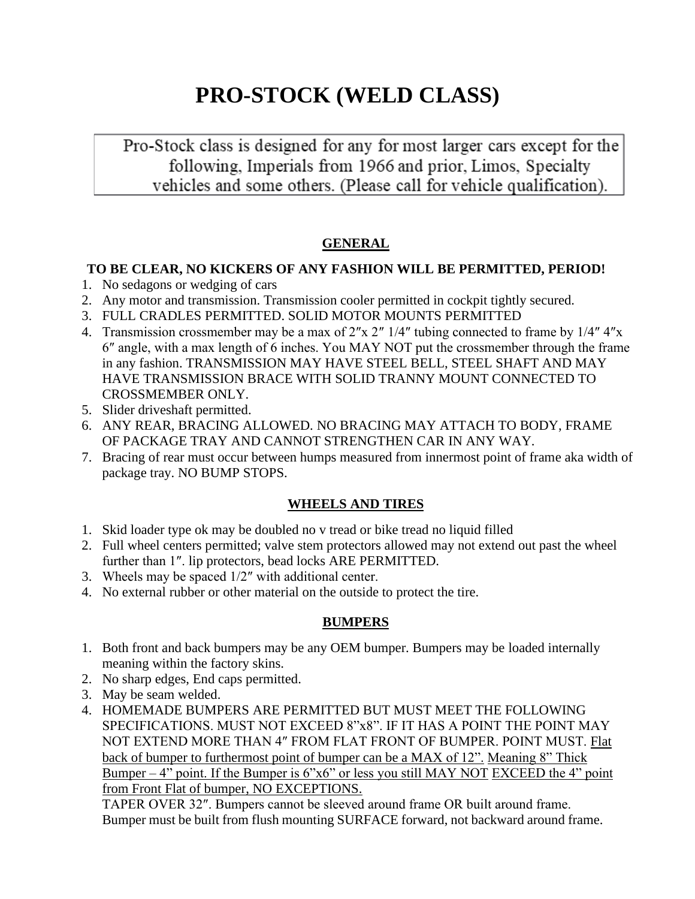# **PRO-STOCK (WELD CLASS)**

Pro-Stock class is designed for any for most larger cars except for the following, Imperials from 1966 and prior, Limos, Specialty vehicles and some others. (Please call for vehicle qualification).

# **GENERAL**

#### **TO BE CLEAR, NO KICKERS OF ANY FASHION WILL BE PERMITTED, PERIOD!**

- 1. No sedagons or wedging of cars
- 2. Any motor and transmission. Transmission cooler permitted in cockpit tightly secured.
- 3. FULL CRADLES PERMITTED. SOLID MOTOR MOUNTS PERMITTED
- 4. Transmission crossmember may be a max of 2″x 2″ 1/4″ tubing connected to frame by 1/4″ 4″x 6″ angle, with a max length of 6 inches. You MAY NOT put the crossmember through the frame in any fashion. TRANSMISSION MAY HAVE STEEL BELL, STEEL SHAFT AND MAY HAVE TRANSMISSION BRACE WITH SOLID TRANNY MOUNT CONNECTED TO CROSSMEMBER ONLY.
- 5. Slider driveshaft permitted.
- 6. ANY REAR, BRACING ALLOWED. NO BRACING MAY ATTACH TO BODY, FRAME OF PACKAGE TRAY AND CANNOT STRENGTHEN CAR IN ANY WAY.
- 7. Bracing of rear must occur between humps measured from innermost point of frame aka width of package tray. NO BUMP STOPS.

# **WHEELS AND TIRES**

- 1. Skid loader type ok may be doubled no v tread or bike tread no liquid filled
- 2. Full wheel centers permitted; valve stem protectors allowed may not extend out past the wheel further than 1″. lip protectors, bead locks ARE PERMITTED.
- 3. Wheels may be spaced 1/2″ with additional center.
- 4. No external rubber or other material on the outside to protect the tire.

# **BUMPERS**

- 1. Both front and back bumpers may be any OEM bumper. Bumpers may be loaded internally meaning within the factory skins.
- 2. No sharp edges, End caps permitted.
- 3. May be seam welded.
- 4. HOMEMADE BUMPERS ARE PERMITTED BUT MUST MEET THE FOLLOWING SPECIFICATIONS. MUST NOT EXCEED 8"x8". IF IT HAS A POINT THE POINT MAY NOT EXTEND MORE THAN 4″ FROM FLAT FRONT OF BUMPER. POINT MUST. Flat back of bumper to furthermost point of bumper can be a MAX of 12". Meaning 8" Thick Bumper  $-4$ " point. If the Bumper is 6"x6" or less you still MAY NOT EXCEED the 4" point from Front Flat of bumper, NO EXCEPTIONS.

 TAPER OVER 32″. Bumpers cannot be sleeved around frame OR built around frame. Bumper must be built from flush mounting SURFACE forward, not backward around frame.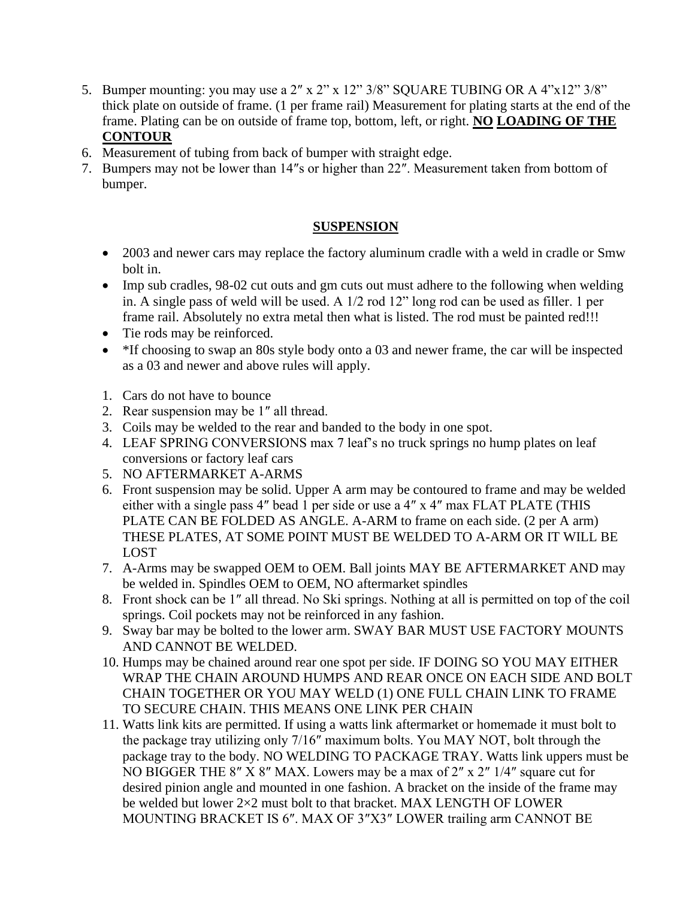- 5. Bumper mounting: you may use a 2″ x 2" x 12" 3/8" SQUARE TUBING OR A 4"x12" 3/8" thick plate on outside of frame. (1 per frame rail) Measurement for plating starts at the end of the frame. Plating can be on outside of frame top, bottom, left, or right. **NO LOADING OF THE CONTOUR**
- 6. Measurement of tubing from back of bumper with straight edge.
- 7. Bumpers may not be lower than 14″s or higher than 22″. Measurement taken from bottom of bumper.

#### **SUSPENSION**

- 2003 and newer cars may replace the factory aluminum cradle with a weld in cradle or Smw bolt in.
- Imp sub cradles, 98-02 cut outs and gm cuts out must adhere to the following when welding in. A single pass of weld will be used. A 1/2 rod 12" long rod can be used as filler. 1 per frame rail. Absolutely no extra metal then what is listed. The rod must be painted red!!!
- Tie rods may be reinforced.
- \*If choosing to swap an 80s style body onto a 03 and newer frame, the car will be inspected as a 03 and newer and above rules will apply.
- 1. Cars do not have to bounce
- 2. Rear suspension may be 1″ all thread.
- 3. Coils may be welded to the rear and banded to the body in one spot.
- 4. LEAF SPRING CONVERSIONS max 7 leaf's no truck springs no hump plates on leaf conversions or factory leaf cars
- 5. NO AFTERMARKET A-ARMS
- 6. Front suspension may be solid. Upper A arm may be contoured to frame and may be welded either with a single pass 4″ bead 1 per side or use a 4″ x 4″ max FLAT PLATE (THIS PLATE CAN BE FOLDED AS ANGLE. A-ARM to frame on each side. (2 per A arm) THESE PLATES, AT SOME POINT MUST BE WELDED TO A-ARM OR IT WILL BE LOST
- 7. A-Arms may be swapped OEM to OEM. Ball joints MAY BE AFTERMARKET AND may be welded in. Spindles OEM to OEM, NO aftermarket spindles
- 8. Front shock can be 1″ all thread. No Ski springs. Nothing at all is permitted on top of the coil springs. Coil pockets may not be reinforced in any fashion.
- 9. Sway bar may be bolted to the lower arm. SWAY BAR MUST USE FACTORY MOUNTS AND CANNOT BE WELDED.
- 10. Humps may be chained around rear one spot per side. IF DOING SO YOU MAY EITHER WRAP THE CHAIN AROUND HUMPS AND REAR ONCE ON EACH SIDE AND BOLT CHAIN TOGETHER OR YOU MAY WELD (1) ONE FULL CHAIN LINK TO FRAME TO SECURE CHAIN. THIS MEANS ONE LINK PER CHAIN
- 11. Watts link kits are permitted. If using a watts link aftermarket or homemade it must bolt to the package tray utilizing only 7/16″ maximum bolts. You MAY NOT, bolt through the package tray to the body. NO WELDING TO PACKAGE TRAY. Watts link uppers must be NO BIGGER THE 8″ X 8″ MAX. Lowers may be a max of 2″ x 2″ 1/4″ square cut for desired pinion angle and mounted in one fashion. A bracket on the inside of the frame may be welded but lower 2×2 must bolt to that bracket. MAX LENGTH OF LOWER MOUNTING BRACKET IS 6″. MAX OF 3″X3″ LOWER trailing arm CANNOT BE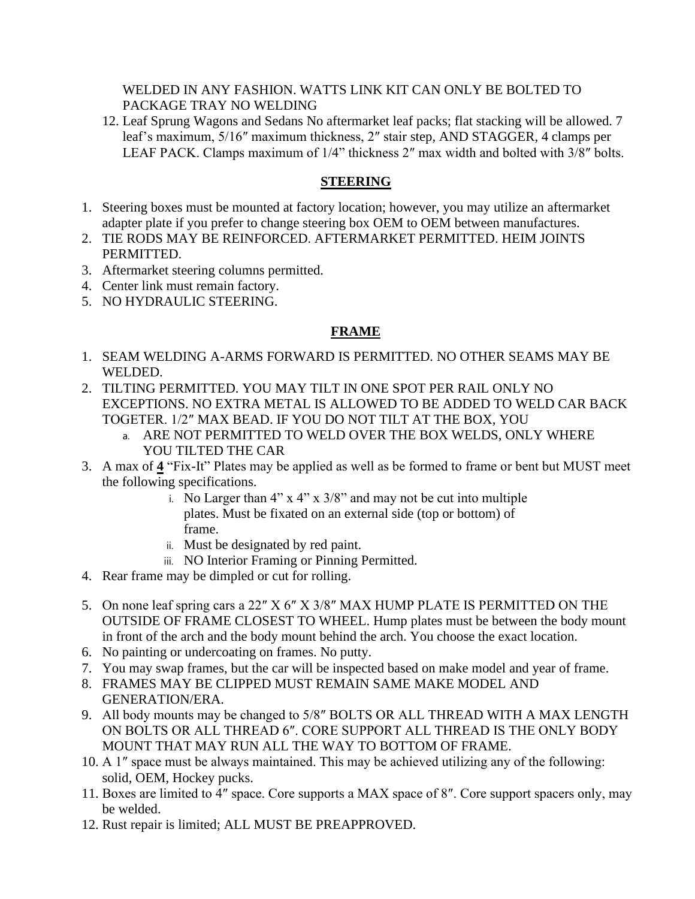#### WELDED IN ANY FASHION. WATTS LINK KIT CAN ONLY BE BOLTED TO PACKAGE TRAY NO WELDING

12. Leaf Sprung Wagons and Sedans No aftermarket leaf packs; flat stacking will be allowed. 7 leaf's maximum, 5/16″ maximum thickness, 2″ stair step, AND STAGGER, 4 clamps per LEAF PACK. Clamps maximum of 1/4" thickness 2″ max width and bolted with 3/8″ bolts.

#### **STEERING**

- 1. Steering boxes must be mounted at factory location; however, you may utilize an aftermarket adapter plate if you prefer to change steering box OEM to OEM between manufactures.
- 2. TIE RODS MAY BE REINFORCED. AFTERMARKET PERMITTED. HEIM JOINTS PERMITTED.
- 3. Aftermarket steering columns permitted.
- 4. Center link must remain factory.
- 5. NO HYDRAULIC STEERING.

#### **FRAME**

- 1. SEAM WELDING A-ARMS FORWARD IS PERMITTED. NO OTHER SEAMS MAY BE WELDED.
- 2. TILTING PERMITTED. YOU MAY TILT IN ONE SPOT PER RAIL ONLY NO EXCEPTIONS. NO EXTRA METAL IS ALLOWED TO BE ADDED TO WELD CAR BACK TOGETER. 1/2″ MAX BEAD. IF YOU DO NOT TILT AT THE BOX, YOU
	- a. ARE NOT PERMITTED TO WELD OVER THE BOX WELDS, ONLY WHERE YOU TILTED THE CAR
- 3. A max of **4** "Fix-It" Plates may be applied as well as be formed to frame or bent but MUST meet the following specifications.
	- i. No Larger than  $4$ " x  $4$ " x  $3/8$ " and may not be cut into multiple plates. Must be fixated on an external side (top or bottom) of frame.
	- ii. Must be designated by red paint.
	- iii. NO Interior Framing or Pinning Permitted.
- 4. Rear frame may be dimpled or cut for rolling.
- 5. On none leaf spring cars a 22″ X 6″ X 3/8″ MAX HUMP PLATE IS PERMITTED ON THE OUTSIDE OF FRAME CLOSEST TO WHEEL. Hump plates must be between the body mount in front of the arch and the body mount behind the arch. You choose the exact location.
- 6. No painting or undercoating on frames. No putty.
- 7. You may swap frames, but the car will be inspected based on make model and year of frame.
- 8. FRAMES MAY BE CLIPPED MUST REMAIN SAME MAKE MODEL AND GENERATION/ERA.
- 9. All body mounts may be changed to 5/8″ BOLTS OR ALL THREAD WITH A MAX LENGTH ON BOLTS OR ALL THREAD 6″. CORE SUPPORT ALL THREAD IS THE ONLY BODY MOUNT THAT MAY RUN ALL THE WAY TO BOTTOM OF FRAME.
- 10. A 1″ space must be always maintained. This may be achieved utilizing any of the following: solid, OEM, Hockey pucks.
- 11. Boxes are limited to 4″ space. Core supports a MAX space of 8″. Core support spacers only, may be welded.
- 12. Rust repair is limited; ALL MUST BE PREAPPROVED.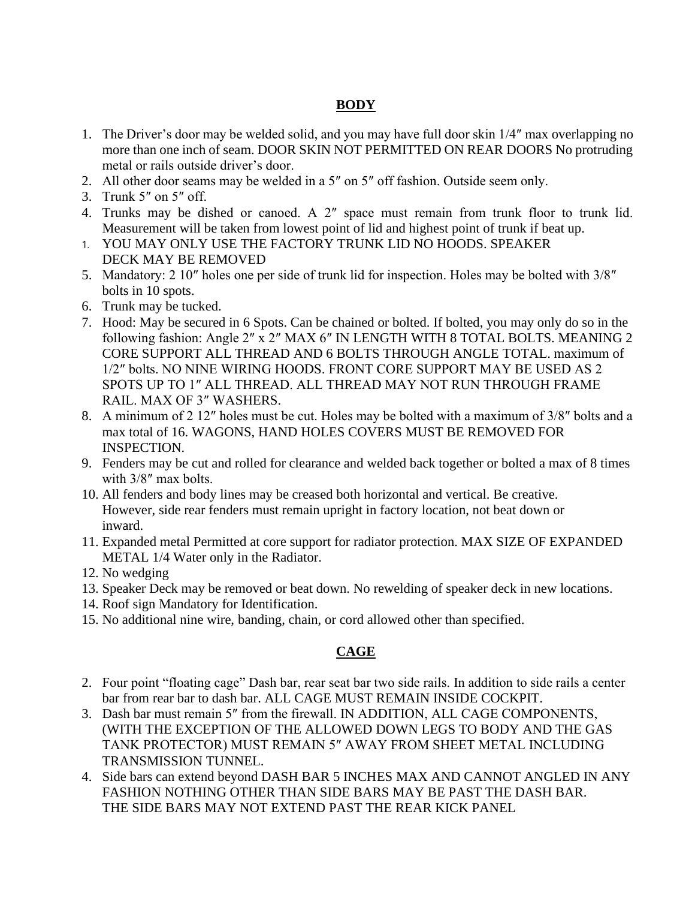#### **BODY**

- 1. The Driver's door may be welded solid, and you may have full door skin 1/4″ max overlapping no more than one inch of seam. DOOR SKIN NOT PERMITTED ON REAR DOORS No protruding metal or rails outside driver's door.
- 2. All other door seams may be welded in a 5″ on 5″ off fashion. Outside seem only.
- 3. Trunk 5″ on 5″ off.
- 4. Trunks may be dished or canoed. A 2″ space must remain from trunk floor to trunk lid. Measurement will be taken from lowest point of lid and highest point of trunk if beat up.
- 1. YOU MAY ONLY USE THE FACTORY TRUNK LID NO HOODS. SPEAKER DECK MAY BE REMOVED
- 5. Mandatory: 2 10″ holes one per side of trunk lid for inspection. Holes may be bolted with 3/8″ bolts in 10 spots.
- 6. Trunk may be tucked.
- 7. Hood: May be secured in 6 Spots. Can be chained or bolted. If bolted, you may only do so in the following fashion: Angle 2″ x 2″ MAX 6″ IN LENGTH WITH 8 TOTAL BOLTS. MEANING 2 CORE SUPPORT ALL THREAD AND 6 BOLTS THROUGH ANGLE TOTAL. maximum of 1/2″ bolts. NO NINE WIRING HOODS. FRONT CORE SUPPORT MAY BE USED AS 2 SPOTS UP TO 1″ ALL THREAD. ALL THREAD MAY NOT RUN THROUGH FRAME RAIL. MAX OF 3″ WASHERS.
- 8. A minimum of 2 12″ holes must be cut. Holes may be bolted with a maximum of 3/8″ bolts and a max total of 16. WAGONS, HAND HOLES COVERS MUST BE REMOVED FOR INSPECTION.
- 9. Fenders may be cut and rolled for clearance and welded back together or bolted a max of 8 times with 3/8″ max bolts.
- 10. All fenders and body lines may be creased both horizontal and vertical. Be creative. However, side rear fenders must remain upright in factory location, not beat down or inward.
- 11. Expanded metal Permitted at core support for radiator protection. MAX SIZE OF EXPANDED METAL 1/4 Water only in the Radiator.
- 12. No wedging
- 13. Speaker Deck may be removed or beat down. No rewelding of speaker deck in new locations.
- 14. Roof sign Mandatory for Identification.
- 15. No additional nine wire, banding, chain, or cord allowed other than specified.

#### **CAGE**

- 2. Four point "floating cage" Dash bar, rear seat bar two side rails. In addition to side rails a center bar from rear bar to dash bar. ALL CAGE MUST REMAIN INSIDE COCKPIT.
- 3. Dash bar must remain 5″ from the firewall. IN ADDITION, ALL CAGE COMPONENTS, (WITH THE EXCEPTION OF THE ALLOWED DOWN LEGS TO BODY AND THE GAS TANK PROTECTOR) MUST REMAIN 5″ AWAY FROM SHEET METAL INCLUDING TRANSMISSION TUNNEL.
- 4. Side bars can extend beyond DASH BAR 5 INCHES MAX AND CANNOT ANGLED IN ANY FASHION NOTHING OTHER THAN SIDE BARS MAY BE PAST THE DASH BAR. THE SIDE BARS MAY NOT EXTEND PAST THE REAR KICK PANEL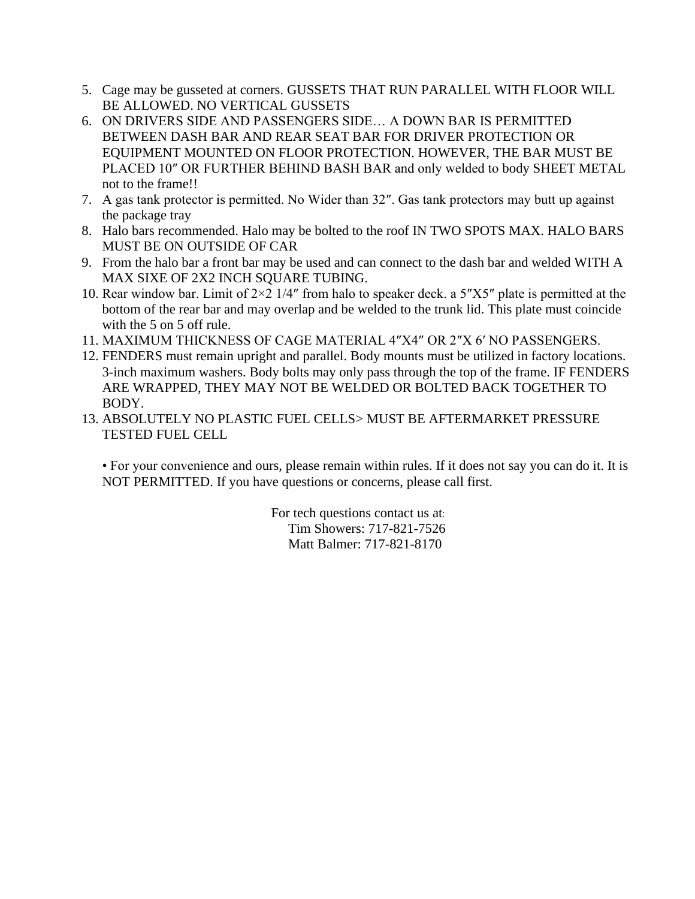- 5. Cage may be gusseted at corners. GUSSETS THAT RUN PARALLEL WITH FLOOR WILL BE ALLOWED. NO VERTICAL GUSSETS
- 6. ON DRIVERS SIDE AND PASSENGERS SIDE… A DOWN BAR IS PERMITTED BETWEEN DASH BAR AND REAR SEAT BAR FOR DRIVER PROTECTION OR EQUIPMENT MOUNTED ON FLOOR PROTECTION. HOWEVER, THE BAR MUST BE PLACED 10″ OR FURTHER BEHIND BASH BAR and only welded to body SHEET METAL not to the frame!!
- 7. A gas tank protector is permitted. No Wider than 32″. Gas tank protectors may butt up against the package tray
- 8. Halo bars recommended. Halo may be bolted to the roof IN TWO SPOTS MAX. HALO BARS MUST BE ON OUTSIDE OF CAR
- 9. From the halo bar a front bar may be used and can connect to the dash bar and welded WITH A MAX SIXE OF 2X2 INCH SQUARE TUBING.
- 10. Rear window bar. Limit of  $2\times 2$  1/4" from halo to speaker deck. a 5"X5" plate is permitted at the bottom of the rear bar and may overlap and be welded to the trunk lid. This plate must coincide with the 5 on 5 off rule.
- 11. MAXIMUM THICKNESS OF CAGE MATERIAL 4″X4″ OR 2″X 6′ NO PASSENGERS.
- 12. FENDERS must remain upright and parallel. Body mounts must be utilized in factory locations. 3-inch maximum washers. Body bolts may only pass through the top of the frame. IF FENDERS ARE WRAPPED, THEY MAY NOT BE WELDED OR BOLTED BACK TOGETHER TO BODY.
- 13. ABSOLUTELY NO PLASTIC FUEL CELLS> MUST BE AFTERMARKET PRESSURE TESTED FUEL CELL

• For your convenience and ours, please remain within rules. If it does not say you can do it. It is NOT PERMITTED. If you have questions or concerns, please call first.

> For tech questions contact us at: Tim Showers: 717-821-7526 Matt Balmer: 717-821-8170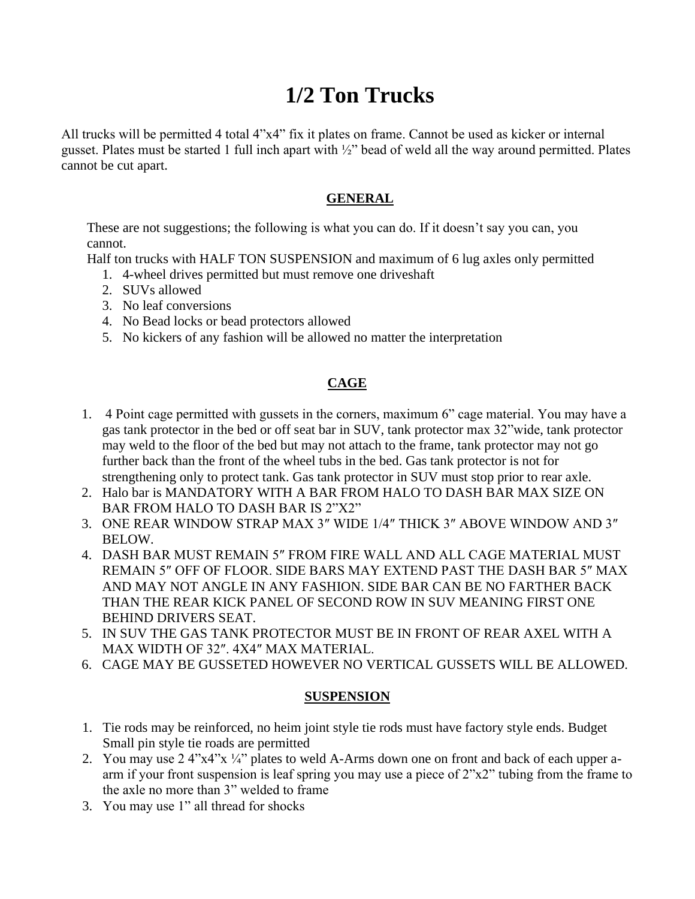# **1/2 Ton Trucks**

All trucks will be permitted 4 total 4"x4" fix it plates on frame. Cannot be used as kicker or internal gusset. Plates must be started 1 full inch apart with ½" bead of weld all the way around permitted. Plates cannot be cut apart.

### **GENERAL**

These are not suggestions; the following is what you can do. If it doesn't say you can, you cannot.

Half ton trucks with HALF TON SUSPENSION and maximum of 6 lug axles only permitted

- 1. 4-wheel drives permitted but must remove one driveshaft
- 2. SUVs allowed
- 3. No leaf conversions
- 4. No Bead locks or bead protectors allowed
- 5. No kickers of any fashion will be allowed no matter the interpretation

# **CAGE**

- 1. 4 Point cage permitted with gussets in the corners, maximum 6" cage material. You may have a gas tank protector in the bed or off seat bar in SUV, tank protector max 32"wide, tank protector may weld to the floor of the bed but may not attach to the frame, tank protector may not go further back than the front of the wheel tubs in the bed. Gas tank protector is not for strengthening only to protect tank. Gas tank protector in SUV must stop prior to rear axle.
- 2. Halo bar is MANDATORY WITH A BAR FROM HALO TO DASH BAR MAX SIZE ON BAR FROM HALO TO DASH BAR IS 2"X2"
- 3. ONE REAR WINDOW STRAP MAX 3″ WIDE 1/4″ THICK 3″ ABOVE WINDOW AND 3″ BELOW.
- 4. DASH BAR MUST REMAIN 5″ FROM FIRE WALL AND ALL CAGE MATERIAL MUST REMAIN 5″ OFF OF FLOOR. SIDE BARS MAY EXTEND PAST THE DASH BAR 5″ MAX AND MAY NOT ANGLE IN ANY FASHION. SIDE BAR CAN BE NO FARTHER BACK THAN THE REAR KICK PANEL OF SECOND ROW IN SUV MEANING FIRST ONE BEHIND DRIVERS SEAT.
- 5. IN SUV THE GAS TANK PROTECTOR MUST BE IN FRONT OF REAR AXEL WITH A MAX WIDTH OF 32″. 4X4″ MAX MATERIAL.
- 6. CAGE MAY BE GUSSETED HOWEVER NO VERTICAL GUSSETS WILL BE ALLOWED.

#### **SUSPENSION**

- 1. Tie rods may be reinforced, no heim joint style tie rods must have factory style ends. Budget Small pin style tie roads are permitted
- 2. You may use 2 4"x4"x ¼" plates to weld A-Arms down one on front and back of each upper aarm if your front suspension is leaf spring you may use a piece of 2"x2" tubing from the frame to the axle no more than 3" welded to frame
- 3. You may use 1" all thread for shocks